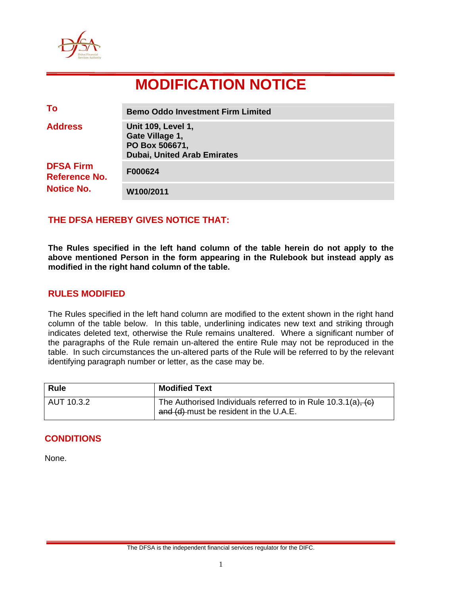

# **MODIFICATION NOTICE**

| To                                                     | <b>Bemo Oddo Investment Firm Limited</b>                                                             |
|--------------------------------------------------------|------------------------------------------------------------------------------------------------------|
| <b>Address</b>                                         | <b>Unit 109, Level 1,</b><br>Gate Village 1,<br>PO Box 506671,<br><b>Dubai, United Arab Emirates</b> |
| <b>DFSA Firm</b><br>Reference No.<br><b>Notice No.</b> | F000624                                                                                              |
|                                                        | W100/2011                                                                                            |

## **THE DFSA HEREBY GIVES NOTICE THAT:**

**The Rules specified in the left hand column of the table herein do not apply to the above mentioned Person in the form appearing in the Rulebook but instead apply as modified in the right hand column of the table.** 

## **RULES MODIFIED**

The Rules specified in the left hand column are modified to the extent shown in the right hand column of the table below. In this table, underlining indicates new text and striking through indicates deleted text, otherwise the Rule remains unaltered. Where a significant number of the paragraphs of the Rule remain un-altered the entire Rule may not be reproduced in the table. In such circumstances the un-altered parts of the Rule will be referred to by the relevant identifying paragraph number or letter, as the case may be.

| <b>Rule</b> | <b>Modified Text</b>                                                                                         |
|-------------|--------------------------------------------------------------------------------------------------------------|
| AUT 10.3.2  | The Authorised Individuals referred to in Rule $10.3.1(a)$ , $(c)$<br>and (d) must be resident in the U.A.E. |

## **CONDITIONS**

None.